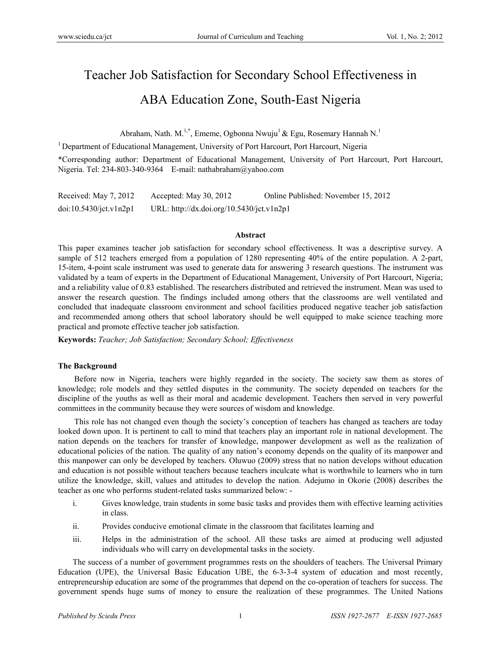# Teacher Job Satisfaction for Secondary School Effectiveness in

## ABA Education Zone, South-East Nigeria

Abraham, Nath. M.<sup>1,\*</sup>, Ememe, Ogbonna Nwuju<sup>1</sup> & Egu, Rosemary Hannah N.<sup>1</sup>

<sup>1</sup> Department of Educational Management, University of Port Harcourt, Port Harcourt, Nigeria

\*Corresponding author: Department of Educational Management, University of Port Harcourt, Port Harcourt, Nigeria. Tel: 234-803-340-9364 E-mail: nathabraham@yahoo.com

| Received: May 7, 2012  | Accepted: May $30, 2012$                  | Online Published: November 15, 2012 |
|------------------------|-------------------------------------------|-------------------------------------|
| doi:10.5430/ict.v1n2p1 | URL: http://dx.doi.org/10.5430/jct.v1n2p1 |                                     |

#### **Abstract**

This paper examines teacher job satisfaction for secondary school effectiveness. It was a descriptive survey. A sample of 512 teachers emerged from a population of 1280 representing 40% of the entire population. A 2-part, 15-item, 4-point scale instrument was used to generate data for answering 3 research questions. The instrument was validated by a team of experts in the Department of Educational Management, University of Port Harcourt, Nigeria; and a reliability value of 0.83 established. The researchers distributed and retrieved the instrument. Mean was used to answer the research question. The findings included among others that the classrooms are well ventilated and concluded that inadequate classroom environment and school facilities produced negative teacher job satisfaction and recommended among others that school laboratory should be well equipped to make science teaching more practical and promote effective teacher job satisfaction.

**Keywords:** *Teacher; Job Satisfaction; Secondary School; Effectiveness*

#### **The Background**

Before now in Nigeria, teachers were highly regarded in the society. The society saw them as stores of knowledge; role models and they settled disputes in the community. The society depended on teachers for the discipline of the youths as well as their moral and academic development. Teachers then served in very powerful committees in the community because they were sources of wisdom and knowledge.

This role has not changed even though the society's conception of teachers has changed as teachers are today looked down upon. It is pertinent to call to mind that teachers play an important role in national development. The nation depends on the teachers for transfer of knowledge, manpower development as well as the realization of educational policies of the nation. The quality of any nation's economy depends on the quality of its manpower and this manpower can only be developed by teachers. Oluwuo (2009) stress that no nation develops without education and education is not possible without teachers because teachers inculcate what is worthwhile to learners who in turn utilize the knowledge, skill, values and attitudes to develop the nation. Adejumo in Okorie (2008) describes the teacher as one who performs student-related tasks summarized below: -

- i. Gives knowledge, train students in some basic tasks and provides them with effective learning activities in class.
- ii. Provides conducive emotional climate in the classroom that facilitates learning and
- iii. Helps in the administration of the school. All these tasks are aimed at producing well adjusted individuals who will carry on developmental tasks in the society.

The success of a number of government programmes rests on the shoulders of teachers. The Universal Primary Education (UPE), the Universal Basic Education UBE, the 6-3-3-4 system of education and most recently, entrepreneurship education are some of the programmes that depend on the co-operation of teachers for success. The government spends huge sums of money to ensure the realization of these programmes. The United Nations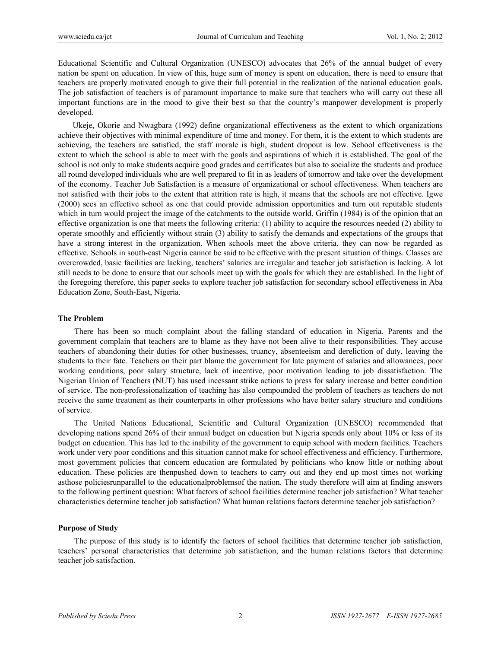Educational Scientific and Cultural Organization (UNESCO) advocates that 26% of the annual budget of every nation be spent on education. In view of this, huge sum of money is spent on education, there is need to ensure that teachers are properly motivated enough to give their full potential in the realization of the national education goals. The job satisfaction of teachers is of paramount importance to make sure that teachers who will carry out these all important functions are in the mood to give their best so that the country's manpower development is properly developed.

Ukeje, Okorie and Nwagbara (1992) define organizational effectiveness as the extent to which organizations achieve their objectives with minimal expenditure of time and money. For them, it is the extent to which students are achieving, the teachers are satisfied, the staff morale is high, student dropout is low. School effectiveness is the extent to which the school is able to meet with the goals and aspirations of which it is established. The goal of the school is not only to make students acquire good grades and certificates but also to socialize the students and produce all round developed individuals who are well prepared to fit in as leaders of tomorrow and take over the development of the economy. Teacher Job Satisfaction is a measure of organizational or school effectiveness. When teachers are not satisfied with their jobs to the extent that attrition rate is high, it means that the schools are not effective. Igwe (2000) sees an effective school as one that could provide admission opportunities and turn out reputable students which in turn would project the image of the catchments to the outside world. Griffin (1984) is of the opinion that an effective organization is one that meets the following criteria: (1) ability to acquire the resources needed (2) ability to operate smoothly and efficiently without strain (3) ability to satisfy the demands and expectations of the groups that have a strong interest in the organization. When schools meet the above criteria, they can now be regarded as effective. Schools in south-east Nigeria cannot be said to be effective with the present situation of things. Classes are overcrowded, basic facilities are lacking, teachers' salaries are irregular and teacher job satisfaction is lacking. A lot still needs to be done to ensure that our schools meet up with the goals for which they are established. In the light of the foregoing therefore, this paper seeks to explore teacher job satisfaction for secondary school effectiveness in Aba Education Zone, South-East, Nigeria.

#### **The Problem**

There has been so much complaint about the falling standard of education in Nigeria. Parents and the government complain that teachers are to blame as they have not been alive to their responsibilities. They accuse teachers of abandoning their duties for other businesses, truancy, absenteeism and dereliction of duty, leaving the students to their fate. Teachers on their part blame the government for late payment of salaries and allowances, poor working conditions, poor salary structure, lack of incentive, poor motivation leading to job dissatisfaction. The Nigerian Union of Teachers (NUT) has used incessant strike actions to press for salary increase and better condition of service. The non-professionalization of teaching has also compounded the problem of teachers as teachers do not receive the same treatment as their counterparts in other professions who have better salary structure and conditions of service.

The United Nations Educational, Scientific and Cultural Organization (UNESCO) recommended that developing nations spend 26% of their annual budget on education but Nigeria spends only about 10% or less of its budget on education. This has led to the inability of the government to equip school with modern facilities. Teachers work under very poor conditions and this situation cannot make for school effectiveness and efficiency. Furthermore, most government policies that concern education are formulated by politicians who know little or nothing about education. These policies are thenpushed down to teachers to carry out and they end up most times not working asthose policiesrunparallel to the educationalproblemsof the nation. The study therefore will aim at finding answers to the following pertinent question: What factors of school facilities determine teacher job satisfaction? What teacher characteristics determine teacher job satisfaction? What human relations factors determine teacher job satisfaction?

#### **Purpose of Study**

The purpose of this study is to identify the factors of school facilities that determine teacher job satisfaction, teachers' personal characteristics that determine job satisfaction, and the human relations factors that determine teacher job satisfaction.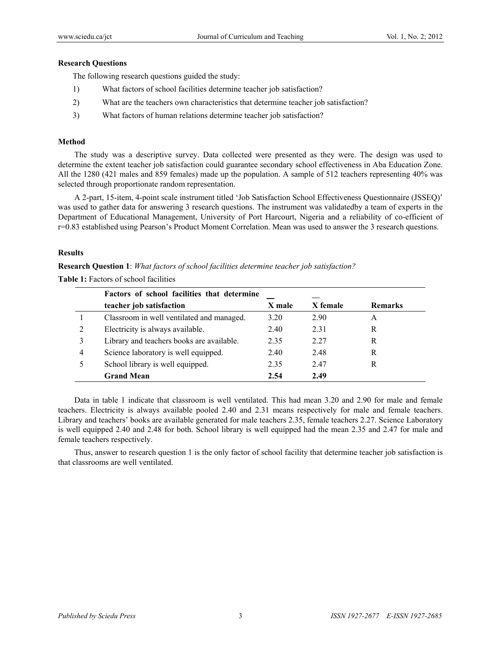#### **Research Questions**

The following research questions guided the study:

- 1) What factors of school facilities determine teacher job satisfaction?
- 2) What are the teachers own characteristics that determine teacher job satisfaction?
- 3) What factors of human relations determine teacher job satisfaction?

#### **Method**

The study was a descriptive survey. Data collected were presented as they were. The design was used to determine the extent teacher job satisfaction could guarantee secondary school effectiveness in Aba Education Zone. All the 1280 (421 males and 859 females) made up the population. A sample of 512 teachers representing 40% was selected through proportionate random representation.

A 2-part, 15-item, 4-point scale instrument titled 'Job Satisfaction School Effectiveness Questionnaire (JSSEQ)' was used to gather data for answering 3 research questions. The instrument was validatedby a team of experts in the Department of Educational Management, University of Port Harcourt, Nigeria and a reliability of co-efficient of r=0.83 established using Pearson's Product Moment Correlation. Mean was used to answer the 3 research questions.

#### **Results**

### **Research Question 1**: *What factors of school facilities determine teacher job satisfaction?*

**Table 1:** Factors of school facilities

|   | Factors of school facilities that determine |        |          |                |
|---|---------------------------------------------|--------|----------|----------------|
|   | teacher job satisfaction                    | X male | X female | <b>Remarks</b> |
|   | Classroom in well ventilated and managed.   | 3 20   | 2.90     | A              |
| 2 | Electricity is always available.            | 2.40   | 2.31     | R              |
|   | Library and teachers books are available.   | 2.35   | 2.27     | R              |
| 4 | Science laboratory is well equipped.        | 2.40   | 2.48     | R              |
|   | School library is well equipped.            | 2.35   | 2.47     | R              |
|   | <b>Grand Mean</b>                           | 2.54   | 2.49     |                |

Data in table 1 indicate that classroom is well ventilated. This had mean 3.20 and 2.90 for male and female teachers. Electricity is always available pooled 2.40 and 2.31 means respectively for male and female teachers. Library and teachers' books are available generated for male teachers 2.35, female teachers 2.27. Science Laboratory is well equipped 2.40 and 2.48 for both. School library is well equipped had the mean 2.35 and 2.47 for male and female teachers respectively.

Thus, answer to research question 1 is the only factor of school facility that determine teacher job satisfaction is that classrooms are well ventilated.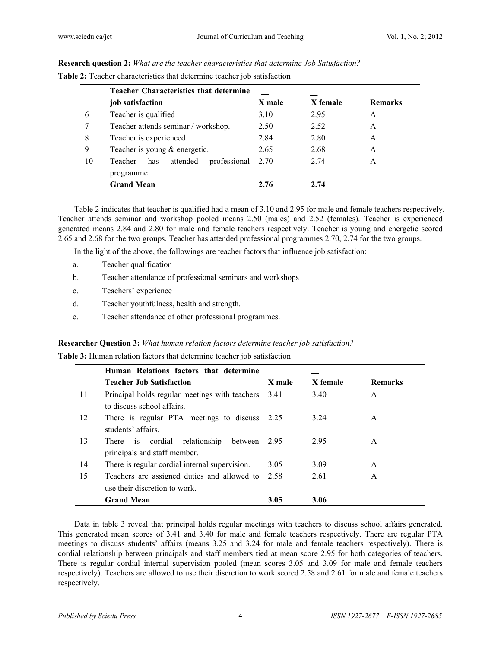|    | <b>Teacher Characteristics that determine</b> |        |          |                |
|----|-----------------------------------------------|--------|----------|----------------|
|    | job satisfaction                              | X male | X female | <b>Remarks</b> |
| 6  | Teacher is qualified                          | 3.10   | 2.95     | A              |
|    | Teacher attends seminar / workshop.           | 2.50   | 2.52     | A              |
| 8  | Teacher is experienced                        | 2.84   | 2.80     | A              |
| 9  | Teacher is young $&$ energetic.               | 2.65   | 2.68     | A              |
| 10 | professional<br>Teacher<br>attended<br>has    | 2.70   | 2.74     | А              |
|    | programme                                     |        |          |                |
|    | <b>Grand Mean</b>                             | 2.76   | 2.74     |                |

| <b>Research question 2:</b> What are the teacher characteristics that determine Job Satisfaction? |  |  |
|---------------------------------------------------------------------------------------------------|--|--|
|---------------------------------------------------------------------------------------------------|--|--|

Table 2 indicates that teacher is qualified had a mean of 3.10 and 2.95 for male and female teachers respectively. Teacher attends seminar and workshop pooled means 2.50 (males) and 2.52 (females). Teacher is experienced generated means 2.84 and 2.80 for male and female teachers respectively. Teacher is young and energetic scored 2.65 and 2.68 for the two groups. Teacher has attended professional programmes 2.70, 2.74 for the two groups.

In the light of the above, the followings are teacher factors that influence job satisfaction:

- a. Teacher qualification
- b. Teacher attendance of professional seminars and workshops
- c. Teachers' experience
- d. Teacher youthfulness, health and strength.
- e. Teacher attendance of other professional programmes.

#### **Researcher Question 3:** *What human relation factors determine teacher job satisfaction?*

| Table 3: Human relation factors that determine teacher job satisfaction |
|-------------------------------------------------------------------------|
|-------------------------------------------------------------------------|

|    | Human Relations factors that determine                                        |        |          |                |
|----|-------------------------------------------------------------------------------|--------|----------|----------------|
|    | <b>Teacher Job Satisfaction</b>                                               | X male | X female | <b>Remarks</b> |
| 11 | Principal holds regular meetings with teachers<br>to discuss school affairs.  | 3.41   | 3.40     | A              |
| 12 | There is regular PTA meetings to discuss 2.25<br>students' affairs            |        | 3.24     | A              |
| 13 | There is cordial relationship<br>between 2.95<br>principals and staff member. |        | 2.95     | A              |
| 14 | There is regular cordial internal supervision.                                | 3.05   | 3.09     | A              |
| 15 | Teachers are assigned duties and allowed to<br>use their discretion to work.  | 2.58   | 2.61     | A              |
|    | <b>Grand Mean</b>                                                             | 3.05   | 3.06     |                |

Data in table 3 reveal that principal holds regular meetings with teachers to discuss school affairs generated. This generated mean scores of 3.41 and 3.40 for male and female teachers respectively. There are regular PTA meetings to discuss students' affairs (means 3.25 and 3.24 for male and female teachers respectively). There is cordial relationship between principals and staff members tied at mean score 2.95 for both categories of teachers. There is regular cordial internal supervision pooled (mean scores 3.05 and 3.09 for male and female teachers respectively). Teachers are allowed to use their discretion to work scored 2.58 and 2.61 for male and female teachers respectively.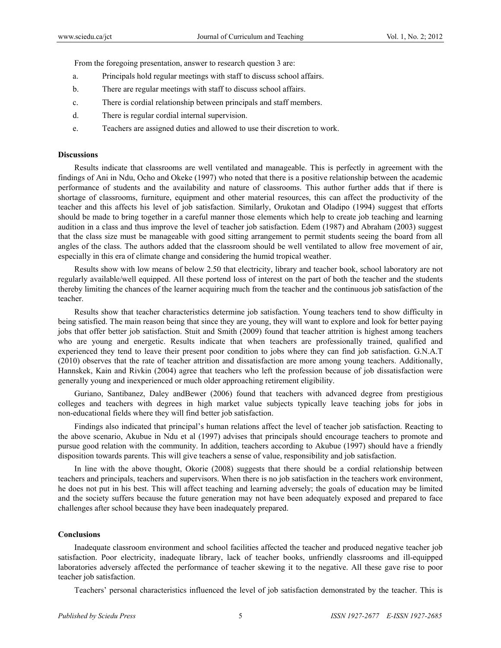From the foregoing presentation, answer to research question 3 are:

- a. Principals hold regular meetings with staff to discuss school affairs.
- b. There are regular meetings with staff to discuss school affairs.
- c. There is cordial relationship between principals and staff members.
- d. There is regular cordial internal supervision.
- e. Teachers are assigned duties and allowed to use their discretion to work.

#### **Discussions**

Results indicate that classrooms are well ventilated and manageable. This is perfectly in agreement with the findings of Ani in Ndu, Ocho and Okeke (1997) who noted that there is a positive relationship between the academic performance of students and the availability and nature of classrooms. This author further adds that if there is shortage of classrooms, furniture, equipment and other material resources, this can affect the productivity of the teacher and this affects his level of job satisfaction. Similarly, Orukotan and Oladipo (1994) suggest that efforts should be made to bring together in a careful manner those elements which help to create job teaching and learning audition in a class and thus improve the level of teacher job satisfaction. Edem (1987) and Abraham (2003) suggest that the class size must be manageable with good sitting arrangement to permit students seeing the board from all angles of the class. The authors added that the classroom should be well ventilated to allow free movement of air, especially in this era of climate change and considering the humid tropical weather.

Results show with low means of below 2.50 that electricity, library and teacher book, school laboratory are not regularly available/well equipped. All these portend loss of interest on the part of both the teacher and the students thereby limiting the chances of the learner acquiring much from the teacher and the continuous job satisfaction of the teacher.

Results show that teacher characteristics determine job satisfaction. Young teachers tend to show difficulty in being satisfied. The main reason being that since they are young, they will want to explore and look for better paying jobs that offer better job satisfaction. Stuit and Smith (2009) found that teacher attrition is highest among teachers who are young and energetic. Results indicate that when teachers are professionally trained, qualified and experienced they tend to leave their present poor condition to jobs where they can find job satisfaction. G.N.A.T (2010) observes that the rate of teacher attrition and dissatisfaction are more among young teachers. Additionally, Hannskek, Kain and Rivkin (2004) agree that teachers who left the profession because of job dissatisfaction were generally young and inexperienced or much older approaching retirement eligibility.

Guriano, Santibanez, Daley andBewer (2006) found that teachers with advanced degree from prestigious colleges and teachers with degrees in high market value subjects typically leave teaching jobs for jobs in non-educational fields where they will find better job satisfaction.

Findings also indicated that principal's human relations affect the level of teacher job satisfaction. Reacting to the above scenario, Akubue in Ndu et al (1997) advises that principals should encourage teachers to promote and pursue good relation with the community. In addition, teachers according to Akubue (1997) should have a friendly disposition towards parents. This will give teachers a sense of value, responsibility and job satisfaction.

In line with the above thought, Okorie (2008) suggests that there should be a cordial relationship between teachers and principals, teachers and supervisors. When there is no job satisfaction in the teachers work environment, he does not put in his best. This will affect teaching and learning adversely; the goals of education may be limited and the society suffers because the future generation may not have been adequately exposed and prepared to face challenges after school because they have been inadequately prepared.

#### **Conclusions**

Inadequate classroom environment and school facilities affected the teacher and produced negative teacher job satisfaction. Poor electricity, inadequate library, lack of teacher books, unfriendly classrooms and ill-equipped laboratories adversely affected the performance of teacher skewing it to the negative. All these gave rise to poor teacher job satisfaction.

Teachers' personal characteristics influenced the level of job satisfaction demonstrated by the teacher. This is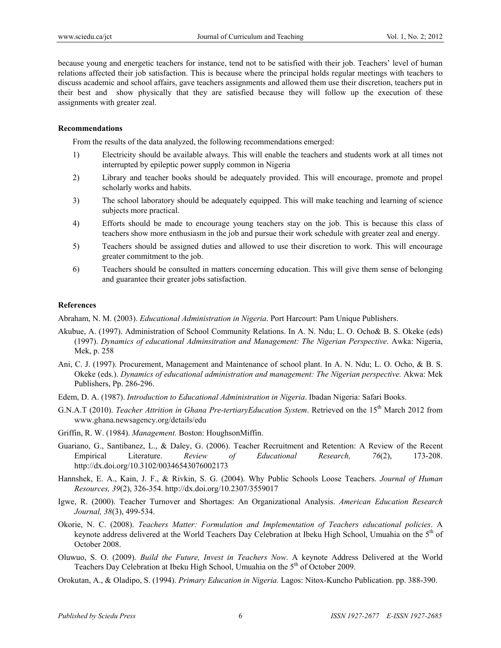because young and energetic teachers for instance, tend not to be satisfied with their job. Teachers' level of human relations affected their job satisfaction. This is because where the principal holds regular meetings with teachers to discuss academic and school affairs, gave teachers assignments and allowed them use their discretion, teachers put in their best and show physically that they are satisfied because they will follow up the execution of these assignments with greater zeal.

#### **Recommendations**

From the results of the data analyzed, the following recommendations emerged:

- 1) Electricity should be available always. This will enable the teachers and students work at all times not interrupted by epileptic power supply common in Nigeria
- 2) Library and teacher books should be adequately provided. This will encourage, promote and propel scholarly works and habits.
- 3) The school laboratory should be adequately equipped. This will make teaching and learning of science subjects more practical.
- 4) Efforts should be made to encourage young teachers stay on the job. This is because this class of teachers show more enthusiasm in the job and pursue their work schedule with greater zeal and energy.
- 5) Teachers should be assigned duties and allowed to use their discretion to work. This will encourage greater commitment to the job.
- 6) Teachers should be consulted in matters concerning education. This will give them sense of belonging and guarantee their greater jobs satisfaction.

#### **References**

Abraham, N. M. (2003). *Educational Administration in Nigeria*. Port Harcourt: Pam Unique Publishers.

- Akubue, A. (1997). Administration of School Community Relations. In A. N. Ndu; L. O. Ocho& B. S. Okeke (eds) (1997). *Dynamics of educational Adminsitration and Management: The Nigerian Perspective*. Awka: Nigeria, Mek, p. 258
- Ani, C. J. (1997). Procurement, Management and Maintenance of school plant. In A. N. Ndu; L. O. Ocho, & B. S. Okeke (eds.). *Dynamics of educational administration and management: The Nigerian perspective.* Akwa: Mek Publishers, Pp. 286-296.
- Edem, D. A. (1987). *Introduction to Educational Administration in Nigeria*. Ibadan Nigeria: Safari Books.
- G.N.A.T (2010). *Teacher Attrition in Ghana Pre-tertiaryEducation System*. Retrieved on the 15<sup>th</sup> March 2012 from www.ghana.newsagency.org/details/edu
- Griffin, R. W. (1984). *Management.* Boston: HoughsonMiffin.
- Guariano, G., Santibanez, L., & Daley, G. (2006). Teacher Recruitment and Retention: A Review of the Recent Empirical Literature. *Review of Educational Research, 76*(2), 173-208. http://dx.doi.org/10.3102/00346543076002173
- Hannshek, E. A., Kain, J. F., & Rivkin, S. G. (2004). Why Public Schools Loose Teachers. *Journal of Human Resources, 39*(2), 326-354. http://dx.doi.org/10.2307/3559017
- Igwe, R. (2000). Teacher Turnover and Shortages: An Organizational Analysis. *American Education Research Journal, 38*(3), 499-534.
- Okorie, N. C. (2008). *Teachers Matter: Formulation and Implementation of Teachers educational policies*. A keynote address delivered at the World Teachers Day Celebration at Ibeku High School, Umuahia on the 5<sup>th</sup> of October 2008.
- Oluwuo, S. O. (2009). *Build the Future, Invest in Teachers Now*. A keynote Address Delivered at the World Teachers Day Celebration at Ibeku High School, Umuahia on the 5<sup>th</sup> of October 2009.
- Orokutan, A., & Oladipo, S. (1994). *Primary Education in Nigeria.* Lagos: Nitox-Kuncho Publication. pp. 388-390.